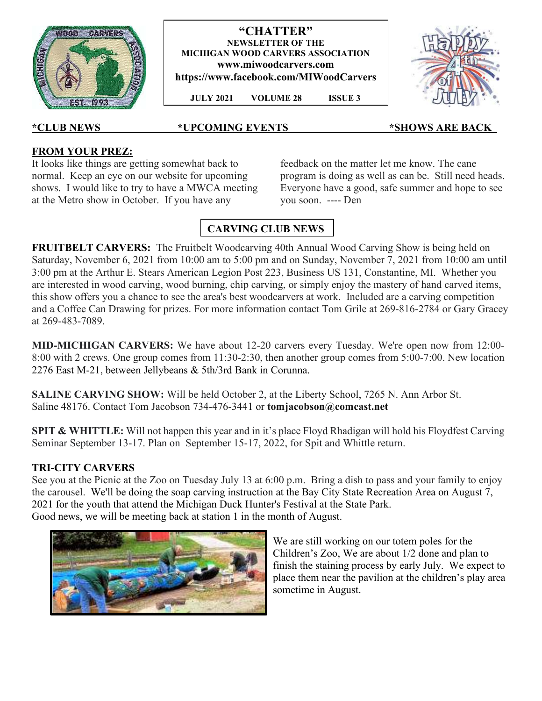

**"CHATTER" NEWSLETTER OF THE MICHIGAN WOOD CARVERS ASSOCIATION www.miwoodcarvers.com https://www.facebook.com/MIWoodCarvers** 

 **JULY 2021 VOLUME 28 ISSUE 3**



#### **\*CLUB NEWS \*UPCOMING EVENTS\_\_\_\_\_ \_\_\_\_\*SHOWS ARE BACK\_**

#### **FROM YOUR PREZ:**

It looks like things are getting somewhat back to normal. Keep an eye on our website for upcoming shows. I would like to try to have a MWCA meeting at the Metro show in October. If you have any

feedback on the matter let me know. The cane program is doing as well as can be. Still need heads. Everyone have a good, safe summer and hope to see you soon. ---- Den

# **CARVING CLUB NEWS**

**FRUITBELT CARVERS:** The Fruitbelt Woodcarving 40th Annual Wood Carving Show is being held on Saturday, November 6, 2021 from 10:00 am to 5:00 pm and on Sunday, November 7, 2021 from 10:00 am until 3:00 pm at the Arthur E. Stears American Legion Post 223, Business US 131, Constantine, MI. Whether you are interested in wood carving, wood burning, chip carving, or simply enjoy the mastery of hand carved items, this show offers you a chance to see the area's best woodcarvers at work. Included are a carving competition and a Coffee Can Drawing for prizes. For more information contact Tom Grile at 269-816-2784 or Gary Gracey at 269-483-7089.

**MID-MICHIGAN CARVERS:** We have about 12-20 carvers every Tuesday. We're open now from 12:00- 8:00 with 2 crews. One group comes from 11:30-2:30, then another group comes from 5:00-7:00. New location 2276 East M-21, between Jellybeans & 5th/3rd Bank in Corunna.

**SALINE CARVING SHOW:** Will be held October 2, at the Liberty School, 7265 N. Ann Arbor St. Saline 48176. Contact Tom Jacobson 734-476-3441 or **tomjacobson@comcast.net**

**SPIT & WHITTLE:** Will not happen this year and in it's place Floyd Rhadigan will hold his Floydfest Carving Seminar September 13-17. Plan on September 15-17, 2022, for Spit and Whittle return.

#### **TRI-CITY CARVERS**

See you at the Picnic at the Zoo on Tuesday July 13 at 6:00 p.m. Bring a dish to pass and your family to enjoy the carousel. We'll be doing the soap carving instruction at the Bay City State Recreation Area on August 7, 2021 for the youth that attend the Michigan Duck Hunter's Festival at the State Park. Good news, we will be meeting back at station 1 in the month of August.



We are still working on our totem poles for the Children's Zoo, We are about 1/2 done and plan to finish the staining process by early July. We expect to place them near the pavilion at the children's play area sometime in August.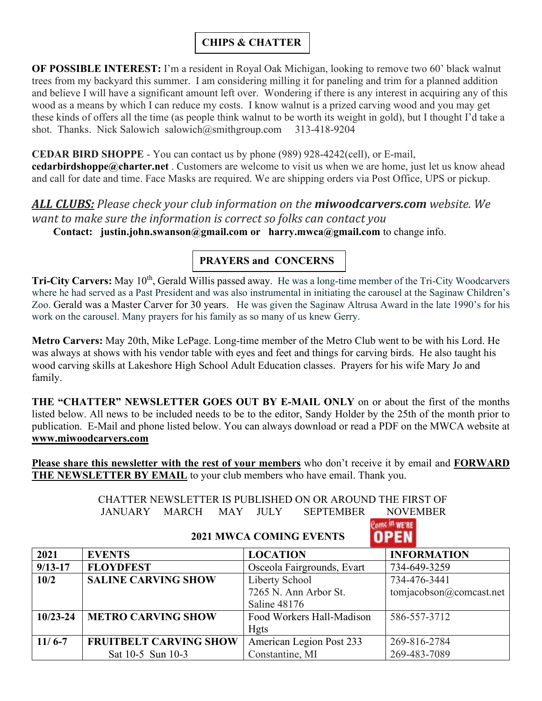### **CHIPS & CHATTER**

**OF POSSIBLE INTEREST:** I'm a resident in Royal Oak Michigan, looking to remove two 60' black walnut trees from my backyard this summer. I am considering milling it for paneling and trim for a planned addition and believe I will have a significant amount left over. Wondering if there is any interest in acquiring any of this wood as a means by which I can reduce my costs. I know walnut is a prized carving wood and you may get these kinds of offers all the time (as people think walnut to be worth its weight in gold), but I thought I'd take a shot. Thanks. Nick Salowich salowich@smithgroup.com 313-418-9204

**CEDAR BIRD SHOPPE** - You can contact us by phone (989) 928-4242(cell), or E-mail, **cedarbirdshoppe@charter.net** . Customers are welcome to visit us when we are home, just let us know ahead and call for date and time. Face Masks are required. We are shipping orders via Post Office, UPS or pickup.

# *ALL CLUBS: Please check your club information on the miwoodcarvers.com website. We want to make sure the information is correct so folks can contact you*

 **Contact: justin.john.swanson@gmail.com or harry.mwca@gmail.com** to change info.

## **PRAYERS and CONCERNS**

**Tri-City Carvers:** May 10<sup>th</sup>, Gerald Willis passed away. He was a long-time member of the Tri-City Woodcarvers where he had served as a Past President and was also instrumental in initiating the carousel at the Saginaw Children's Zoo. Gerald was a Master Carver for 30 years. He was given the Saginaw Altrusa Award in the late 1990's for his work on the carousel. Many prayers for his family as so many of us knew Gerry.

**Metro Carvers:** May 20th, Mike LePage. Long-time member of the Metro Club went to be with his Lord. He was always at shows with his vendor table with eyes and feet and things for carving birds. He also taught his wood carving skills at Lakeshore High School Adult Education classes. Prayers for his wife Mary Jo and family.

**THE "CHATTER" NEWSLETTER GOES OUT BY E-MAIL ONLY** on or about the first of the months listed below. All news to be included needs to be to the editor, Sandy Holder by the 25th of the month prior to publication. E-Mail and phone listed below. You can always download or read a PDF on the MWCA website at **www.miwoodcarvers.com**

**Please share this newsletter with the rest of your members** who don't receive it by email and **FORWARD THE NEWSLETTER BY EMAIL** to your club members who have email. Thank you.

> CHATTER NEWSLETTER IS PUBLISHED ON OR AROUND THE FIRST OF JANUARY MARCH MAY JULY SEPTEMBER NOVEMBER

# Come <sup>Lit</sup> WE'RE

### **2021 MWCA COMING EVENTS**

| 2021         | <b>EVENTS</b>                 | <b>LOCATION</b>            | <b>INFORMATION</b>      |
|--------------|-------------------------------|----------------------------|-------------------------|
| $9/13 - 17$  | <b>FLOYDFEST</b>              | Osceola Fairgrounds, Evart | 734-649-3259            |
| 10/2         | <b>SALINE CARVING SHOW</b>    | Liberty School             | 734-476-3441            |
|              |                               | 7265 N. Ann Arbor St.      | tomiacobson@comcast.net |
|              |                               | Saline 48176               |                         |
| $10/23 - 24$ | <b>METRO CARVING SHOW</b>     | Food Workers Hall-Madison  | 586-557-3712            |
|              |                               | <b>Hgts</b>                |                         |
| $11/6 - 7$   | <b>FRUITBELT CARVING SHOW</b> | American Legion Post 233   | 269-816-2784            |
|              | Sat 10-5 Sun 10-3             | Constantine, MI            | 269-483-7089            |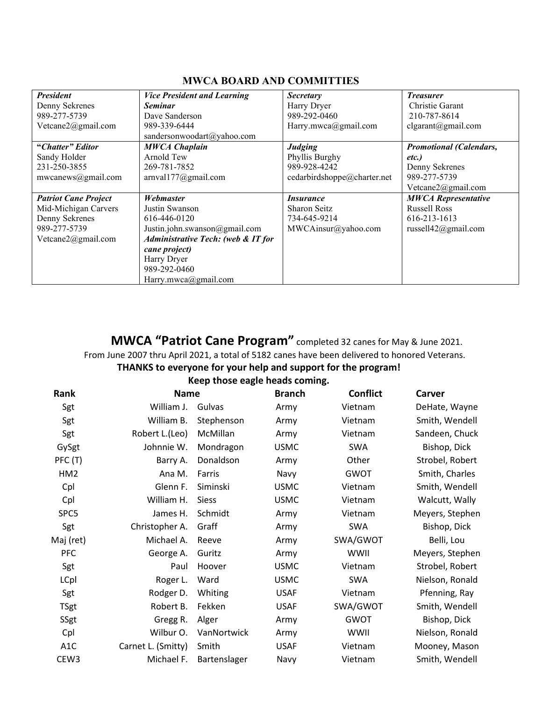#### **MWCA BOARD AND COMMITTIES**

| <b>President</b>            | <b>Vice President and Learning</b>            | Secretary                   | <i>Treasurer</i>               |
|-----------------------------|-----------------------------------------------|-----------------------------|--------------------------------|
| Denny Sekrenes              | <b>Seminar</b>                                | Harry Dryer                 | Christie Garant                |
| 989-277-5739                | Dave Sanderson                                | 989-292-0460                | 210-787-8614                   |
| Vetcane2@gmail.com          | 989-339-6444                                  | Harry.mwca@gmail.com        | clgarant@gmail.com             |
|                             | sandersonwoodart@yahoo.com                    |                             |                                |
| "Chatter" Editor            | <b>MWCA Chaplain</b>                          | <b>Judging</b>              | <b>Promotional (Calendars,</b> |
| Sandy Holder                | Arnold Tew                                    | Phyllis Burghy              | etc.)                          |
| 231-250-3855                | 269-781-7852                                  | 989-928-4242                | Denny Sekrenes                 |
| mwcanews@gmail.com          | arnvall 77@gmail.com                          | cedarbirdshoppe@charter.net | 989-277-5739                   |
|                             |                                               |                             | Vetcane2@gmail.com             |
| <b>Patriot Cane Project</b> | Webmaster                                     | <i>Insurance</i>            | <b>MWCA Representative</b>     |
| Mid-Michigan Carvers        | Justin Swanson                                | Sharon Seitz                | <b>Russell Ross</b>            |
| Denny Sekrenes              | 616-446-0120                                  | 734-645-9214                | 616-213-1613                   |
| 989-277-5739                | Justin.john.swanson@gmail.com                 | MWCAinsur@yahoo.com         | russell $42@g$ mail.com        |
| Vetcane2@gmail.com          | <b>Administrative Tech: (web &amp; IT for</b> |                             |                                |
|                             | cane project)                                 |                             |                                |
|                             | Harry Dryer                                   |                             |                                |
|                             | 989-292-0460                                  |                             |                                |
|                             | Harry.mwca@gmail.com                          |                             |                                |

**MWCA "Patriot Cane Program"** completed 32 canes for May & June 2021. From June 2007 thru April 2021, a total of 5182 canes have been delivered to honored Veterans. **THANKS to everyone for your help and support for the program!** 

**Keep those eagle heads coming.** 

| Rank             | <b>Name</b>        |              | <b>Branch</b> | <b>Conflict</b> | Carver          |
|------------------|--------------------|--------------|---------------|-----------------|-----------------|
| Sgt              | William J.         | Gulvas       | Army          | Vietnam         | DeHate, Wayne   |
| Sgt              | William B.         | Stephenson   | Army          | Vietnam         | Smith, Wendell  |
| Sgt              | Robert L.(Leo)     | McMillan     | Army          | Vietnam         | Sandeen, Chuck  |
| GySgt            | Johnnie W.         | Mondragon    | <b>USMC</b>   | SWA             | Bishop, Dick    |
| PFC (T)          | Barry A.           | Donaldson    | Army          | Other           | Strobel, Robert |
| HM <sub>2</sub>  | Ana M.             | Farris       | Navy          | <b>GWOT</b>     | Smith, Charles  |
| Cpl              | Glenn F.           | Siminski     | <b>USMC</b>   | Vietnam         | Smith, Wendell  |
| Cpl              | William H.         | <b>Siess</b> | <b>USMC</b>   | Vietnam         | Walcutt, Wally  |
| SPC5             | James H.           | Schmidt      | Army          | Vietnam         | Meyers, Stephen |
| Sgt              | Christopher A.     | Graff        | Army          | SWA             | Bishop, Dick    |
| Maj (ret)        | Michael A.         | Reeve        | Army          | SWA/GWOT        | Belli, Lou      |
| <b>PFC</b>       | George A.          | Guritz       | Army          | WWII            | Meyers, Stephen |
| Sgt              | Paul               | Hoover       | <b>USMC</b>   | Vietnam         | Strobel, Robert |
| <b>LCpl</b>      | Roger L.           | Ward         | <b>USMC</b>   | <b>SWA</b>      | Nielson, Ronald |
| Sgt              | Rodger D.          | Whiting      | <b>USAF</b>   | Vietnam         | Pfenning, Ray   |
| <b>TSgt</b>      | Robert B.          | Fekken       | <b>USAF</b>   | SWA/GWOT        | Smith, Wendell  |
| SSgt             | Gregg R.           | Alger        | Army          | <b>GWOT</b>     | Bishop, Dick    |
| Cpl              | Wilbur O.          | VanNortwick  | Army          | WWII            | Nielson, Ronald |
| A1C              | Carnet L. (Smitty) | Smith        | <b>USAF</b>   | Vietnam         | Mooney, Mason   |
| CEW <sub>3</sub> | Michael F.         | Bartenslager | Navy          | Vietnam         | Smith, Wendell  |